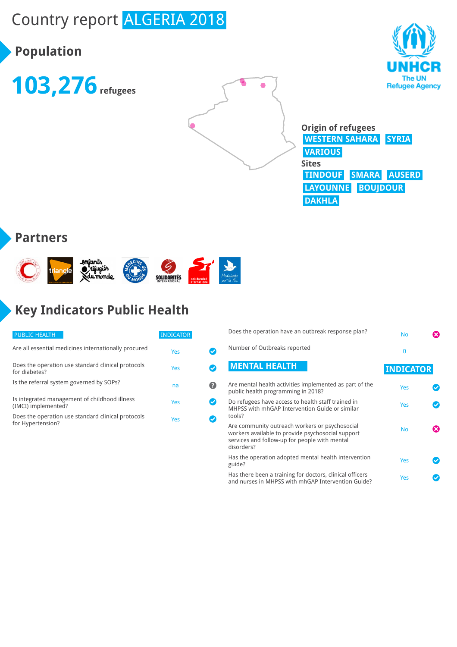# Country report ALGERIA 2018

## **Population**







**Origin of refugees WESTERN SAHARA SYRIA VARIOUS Sites TINDOUF SMARA AUSERD LAYOUNNE BOUJDOUR DAKHLA**

#### **Partners**



## **Key Indicators Public Health**

| <b>PUBLIC HEALTH</b>                                                    | <b>INDICATOR</b> |  |
|-------------------------------------------------------------------------|------------------|--|
| Are all essential medicines internationally procured                    | Yes              |  |
| Does the operation use standard clinical protocols<br>for diabetes?     | Yes              |  |
| Is the referral system governed by SOPs?                                | na               |  |
| Is integrated management of childhood illness<br>(IMCI) implemented?    | Yes              |  |
| Does the operation use standard clinical protocols<br>for Hypertension? | Yes              |  |

| Does the operation have an outbreak response plan?                                                                                                                 | <b>No</b>        |  |
|--------------------------------------------------------------------------------------------------------------------------------------------------------------------|------------------|--|
| Number of Outbreaks reported                                                                                                                                       | $\Omega$         |  |
| <b>MENTAL HEALTH</b>                                                                                                                                               | <b>INDICATOR</b> |  |
| Are mental health activities implemented as part of the<br>public health programming in 2018?                                                                      | Yes              |  |
| Do refugees have access to health staff trained in<br>MHPSS with mhGAP Intervention Guide or similar<br>tools?                                                     | Yes              |  |
| Are community outreach workers or psychosocial<br>workers available to provide psychosocial support<br>services and follow-up for people with mental<br>disorders? | <b>No</b>        |  |
| Has the operation adopted mental health intervention<br>guide?                                                                                                     | Yes              |  |
| Has there been a training for doctors, clinical officers<br>and nurses in MHPSS with mhGAP Intervention Guide?                                                     | Yes              |  |